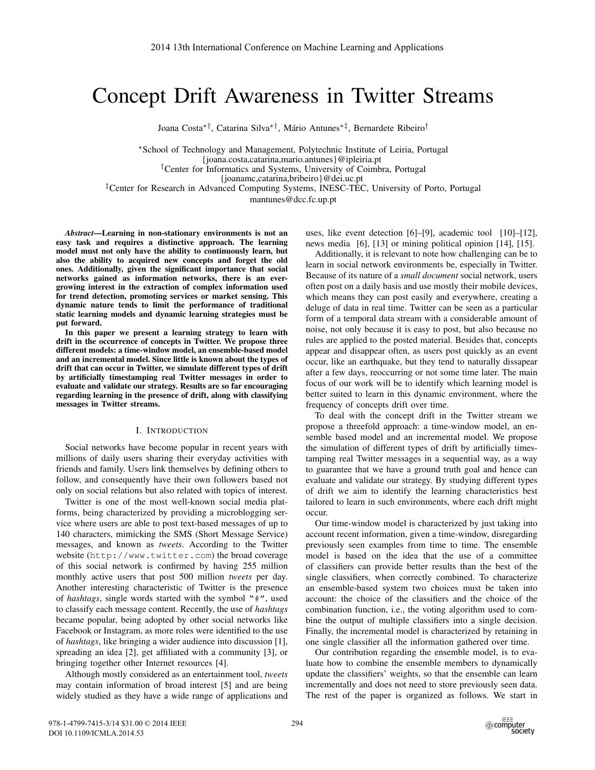# Concept Drift Awareness in Twitter Streams

Joana Costa∗†, Catarina Silva∗†, Mário Antunes∗‡, Bernardete Ribeiro†

∗School of Technology and Management, Polytechnic Institute of Leiria, Portugal {joana.costa,catarina,mario.antunes}@ipleiria.pt †Center for Informatics and Systems, University of Coimbra, Portugal {joanamc,catarina,bribeiro}@dei.uc.pt ‡Center for Research in Advanced Computing Systems, INESC-TEC, University of Porto, Portugal

mantunes@dcc.fc.up.pt

*Abstract*—Learning in non-stationary environments is not an easy task and requires a distinctive approach. The learning model must not only have the ability to continuously learn, but also the ability to acquired new concepts and forget the old ones. Additionally, given the significant importance that social networks gained as information networks, there is an evergrowing interest in the extraction of complex information used for trend detection, promoting services or market sensing. This dynamic nature tends to limit the performance of traditional static learning models and dynamic learning strategies must be put forward.

In this paper we present a learning strategy to learn with drift in the occurrence of concepts in Twitter. We propose three different models: a time-window model, an ensemble-based model and an incremental model. Since little is known about the types of drift that can occur in Twitter, we simulate different types of drift by artificially timestamping real Twitter messages in order to evaluate and validate our strategy. Results are so far encouraging regarding learning in the presence of drift, along with classifying messages in Twitter streams.

#### I. INTRODUCTION

Social networks have become popular in recent years with millions of daily users sharing their everyday activities with friends and family. Users link themselves by defining others to follow, and consequently have their own followers based not only on social relations but also related with topics of interest.

Twitter is one of the most well-known social media platforms, being characterized by providing a microblogging service where users are able to post text-based messages of up to 140 characters, mimicking the SMS (Short Message Service) messages, and known as *tweets*. According to the Twitter website (http://www.twitter.com) the broad coverage of this social network is confirmed by having 255 million monthly active users that post 500 million *tweets* per day. Another interesting characteristic of Twitter is the presence of *hashtags*, single words started with the symbol "#", used to classify each message content. Recently, the use of *hashtags* became popular, being adopted by other social networks like Facebook or Instagram, as more roles were identified to the use of *hashtags*, like bringing a wider audience into discussion [1], spreading an idea [2], get affiliated with a community [3], or bringing together other Internet resources [4].

Although mostly considered as an entertainment tool, *tweets* may contain information of broad interest [5] and are being widely studied as they have a wide range of applications and uses, like event detection [6]–[9], academic tool [10]–[12], news media [6], [13] or mining political opinion [14], [15].

Additionally, it is relevant to note how challenging can be to learn in social network environments be, especially in Twitter. Because of its nature of a *small document* social network, users often post on a daily basis and use mostly their mobile devices, which means they can post easily and everywhere, creating a deluge of data in real time. Twitter can be seen as a particular form of a temporal data stream with a considerable amount of noise, not only because it is easy to post, but also because no rules are applied to the posted material. Besides that, concepts appear and disappear often, as users post quickly as an event occur, like an earthquake, but they tend to naturally dissapear after a few days, reoccurring or not some time later. The main focus of our work will be to identify which learning model is better suited to learn in this dynamic environment, where the frequency of concepts drift over time.

To deal with the concept drift in the Twitter stream we propose a threefold approach: a time-window model, an ensemble based model and an incremental model. We propose the simulation of different types of drift by artificially timestamping real Twitter messages in a sequential way, as a way to guarantee that we have a ground truth goal and hence can evaluate and validate our strategy. By studying different types of drift we aim to identify the learning characteristics best tailored to learn in such environments, where each drift might occur.

Our time-window model is characterized by just taking into account recent information, given a time-window, disregarding previously seen examples from time to time. The ensemble model is based on the idea that the use of a committee of classifiers can provide better results than the best of the single classifiers, when correctly combined. To characterize an ensemble-based system two choices must be taken into account: the choice of the classifiers and the choice of the combination function, i.e., the voting algorithm used to combine the output of multiple classifiers into a single decision. Finally, the incremental model is characterized by retaining in one single classifier all the information gathered over time.

Our contribution regarding the ensemble model, is to evaluate how to combine the ensemble members to dynamically update the classifiers' weights, so that the ensemble can learn incrementally and does not need to store previously seen data. The rest of the paper is organized as follows. We start in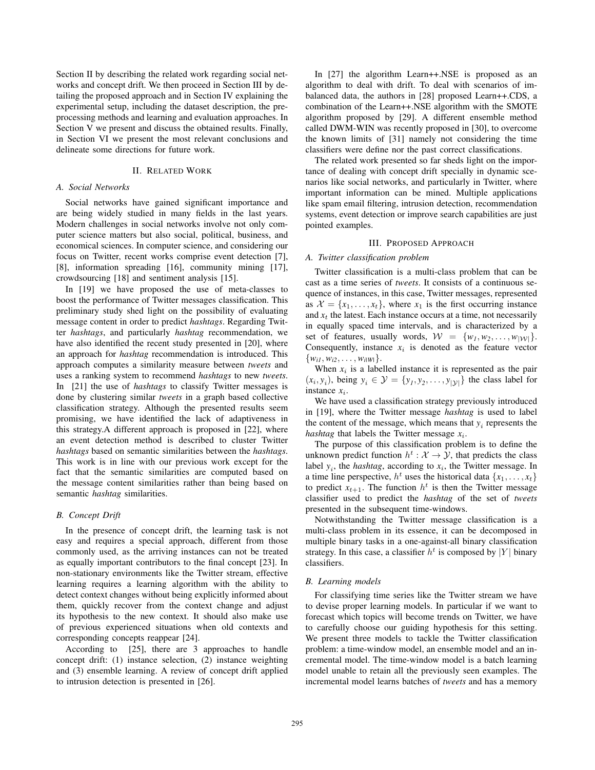Section II by describing the related work regarding social networks and concept drift. We then proceed in Section III by detailing the proposed approach and in Section IV explaining the experimental setup, including the dataset description, the preprocessing methods and learning and evaluation approaches. In Section V we present and discuss the obtained results. Finally, in Section VI we present the most relevant conclusions and delineate some directions for future work.

## II. RELATED WORK

## *A. Social Networks*

Social networks have gained significant importance and are being widely studied in many fields in the last years. Modern challenges in social networks involve not only computer science matters but also social, political, business, and economical sciences. In computer science, and considering our focus on Twitter, recent works comprise event detection [7], [8], information spreading [16], community mining [17], crowdsourcing [18] and sentiment analysis [15].

In [19] we have proposed the use of meta-classes to boost the performance of Twitter messages classification. This preliminary study shed light on the possibility of evaluating message content in order to predict *hashtags*. Regarding Twitter *hashtags*, and particularly *hashtag* recommendation, we have also identified the recent study presented in [20], where an approach for *hashtag* recommendation is introduced. This approach computes a similarity measure between *tweets* and uses a ranking system to recommend *hashtags* to new *tweets*. In [21] the use of *hashtags* to classify Twitter messages is done by clustering similar *tweets* in a graph based collective classification strategy. Although the presented results seem promising, we have identified the lack of adaptiveness in this strategy.A different approach is proposed in [22], where an event detection method is described to cluster Twitter *hashtags* based on semantic similarities between the *hashtags*. This work is in line with our previous work except for the fact that the semantic similarities are computed based on the message content similarities rather than being based on semantic *hashtag* similarities.

#### *B. Concept Drift*

In the presence of concept drift, the learning task is not easy and requires a special approach, different from those commonly used, as the arriving instances can not be treated as equally important contributors to the final concept [23]. In non-stationary environments like the Twitter stream, effective learning requires a learning algorithm with the ability to detect context changes without being explicitly informed about them, quickly recover from the context change and adjust its hypothesis to the new context. It should also make use of previous experienced situations when old contexts and corresponding concepts reappear [24].

According to [25], there are 3 approaches to handle concept drift: (1) instance selection, (2) instance weighting and (3) ensemble learning. A review of concept drift applied to intrusion detection is presented in [26].

In [27] the algorithm Learn++.NSE is proposed as an algorithm to deal with drift. To deal with scenarios of imbalanced data, the authors in [28] proposed Learn++.CDS, a combination of the Learn++.NSE algorithm with the SMOTE algorithm proposed by [29]. A different ensemble method called DWM-WIN was recently proposed in [30], to overcome the known limits of [31] namely not considering the time classifiers were define nor the past correct classifications.

The related work presented so far sheds light on the importance of dealing with concept drift specially in dynamic scenarios like social networks, and particularly in Twitter, where important information can be mined. Multiple applications like spam email filtering, intrusion detection, recommendation systems, event detection or improve search capabilities are just pointed examples.

## III. PROPOSED APPROACH

#### *A. Twitter classification problem*

Twitter classification is a multi-class problem that can be cast as a time series of *tweets*. It consists of a continuous sequence of instances, in this case, Twitter messages, represented as  $\mathcal{X} = \{x_1, \ldots, x_t\}$ , where  $x_1$  is the first occurring instance and  $x_t$  the latest. Each instance occurs at a time, not necessarily in equally spaced time intervals, and is characterized by a set of features, usually words,  $W = \{w_1, w_2, \ldots, w_{|\mathcal{W}|}\}.$ Consequently, instance  $x_i$  is denoted as the feature vector  $\{w_{i1}, w_{i2}, \ldots, w_{i|W|}\}.$ 

When  $x_i$  is a labelled instance it is represented as the pair  $(x_i, y_i)$ , being  $y_i \in \mathcal{Y} = \{y_1, y_2, \dots, y_{|\mathcal{Y}|}\}\$  the class label for instance  $x_i$ .

We have used a classification strategy previously introduced in [19], where the Twitter message *hashtag* is used to label the content of the message, which means that  $y_i$  represents the *hashtag* that labels the Twitter message *x*i.

The purpose of this classification problem is to define the unknown predict function  $h^t : \mathcal{X} \to \mathcal{Y}$ , that predicts the class label  $y_i$ , the *hashtag*, according to  $x_i$ , the Twitter message. In a time line perspective,  $h^t$  uses the historical data  $\{x_1, \ldots, x_t\}$ to predict  $x_{t+1}$ . The function  $h^t$  is then the Twitter message classifier used to predict the *hashtag* of the set of *tweets* presented in the subsequent time-windows.

Notwithstanding the Twitter message classification is a multi-class problem in its essence, it can be decomposed in multiple binary tasks in a one-against-all binary classification strategy. In this case, a classifier  $h^t$  is composed by |Y| binary classifiers.

## *B. Learning models*

For classifying time series like the Twitter stream we have to devise proper learning models. In particular if we want to forecast which topics will become trends on Twitter, we have to carefully choose our guiding hypothesis for this setting. We present three models to tackle the Twitter classification problem: a time-window model, an ensemble model and an incremental model. The time-window model is a batch learning model unable to retain all the previously seen examples. The incremental model learns batches of *tweets* and has a memory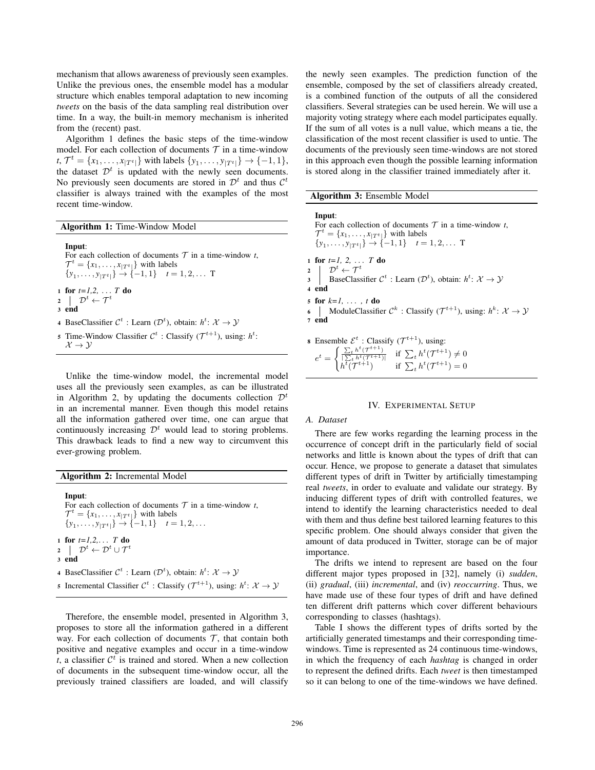mechanism that allows awareness of previously seen examples. Unlike the previous ones, the ensemble model has a modular structure which enables temporal adaptation to new incoming *tweets* on the basis of the data sampling real distribution over time. In a way, the built-in memory mechanism is inherited from the (recent) past.

Algorithm 1 defines the basic steps of the time-window model. For each collection of documents  $T$  in a time-window  $t, \mathcal{T}^t = \{x_1, \ldots, x_{|T^t|}\}$  with labels  $\{y_1, \ldots, y_{|T^t|}\} \rightarrow \{-1, 1\},$ the dataset  $\mathcal{D}^t$  is updated with the newly seen documents. No previously seen documents are stored in  $\mathcal{D}^t$  and thus  $\mathcal{C}^t$ classifier is always trained with the examples of the most recent time-window.

Algorithm 1: Time-Window Model

Input: For each collection of documents  $T$  in a time-window  $t$ ,  $\mathcal{T}^t = \{x_1, \ldots, x_{|T^t|}\}\$  with labels  $\{y_1, \ldots, y_{|T^t|}\} \rightarrow \{-1, 1\} \quad t = 1, 2, \ldots$  T <sup>1</sup> for *t=1,2,* ... *T* do 2  $\downarrow \mathcal{D}^t \leftarrow \mathcal{T}^t$ <sup>3</sup> end 4 BaseClassifier  $C^t$ : Learn  $(\mathcal{D}^t)$ , obtain:  $h^t: \mathcal{X} \to \mathcal{Y}$ 5 Time-Window Classifier  $C^t$ : Classify  $(T^{t+1})$ , using:  $h^t$ :  $\mathcal{X}\rightarrow\mathcal{Y}$ 

Unlike the time-window model, the incremental model uses all the previously seen examples, as can be illustrated in Algorithm 2, by updating the documents collection  $\mathcal{D}^t$ in an incremental manner. Even though this model retains all the information gathered over time, one can argue that continuously increasing  $\mathcal{D}^t$  would lead to storing problems. This drawback leads to find a new way to circumvent this ever-growing problem.

Algorithm 2: Incremental Model

Input: For each collection of documents  $T$  in a time-window  $t$ ,  $\mathcal{T}^t = \{x_1, \ldots, x_{|T^t|}\}$  with labels  $\{y_1, \ldots, y_{|T^t|}\} \rightarrow \{-1, 1\} \quad t = 1, 2, \ldots$ <sup>1</sup> for *t=1,2,*... *T* do  $\begin{array}{ccc} \texttt{2} & \end{array} \begin{array}{c} & \mathcal{D}^t \leftarrow \mathcal{D}^t \cup \mathcal{T}^t \end{array}$ <sup>3</sup> end 4 BaseClassifier  $C^t$ : Learn  $(D^t)$ , obtain:  $h^t: \mathcal{X} \to \mathcal{Y}$ 5 Incremental Classifier  $C^t$ : Classify  $(\mathcal{T}^{t+1})$ , using:  $h^t: \mathcal{X} \to \mathcal{Y}$ 

Therefore, the ensemble model, presented in Algorithm 3, proposes to store all the information gathered in a different way. For each collection of documents  $\mathcal T$ , that contain both positive and negative examples and occur in a time-window *t*, a classifier  $\mathcal{C}^t$  is trained and stored. When a new collection of documents in the subsequent time-window occur, all the previously trained classifiers are loaded, and will classify the newly seen examples. The prediction function of the ensemble, composed by the set of classifiers already created, is a combined function of the outputs of all the considered classifiers. Several strategies can be used herein. We will use a majority voting strategy where each model participates equally. If the sum of all votes is a null value, which means a tie, the classification of the most recent classifier is used to untie. The documents of the previously seen time-windows are not stored in this approach even though the possible learning information is stored along in the classifier trained immediately after it.

| <b>Algorithm 3:</b> Ensemble Model |  |  |  |
|------------------------------------|--|--|--|
|------------------------------------|--|--|--|

 $h^{\overline{t}}(\mathcal{T}^{t+1})$  if  $\Sigma$ 

| Input:<br>For each collection of documents $T$ in a time-window t,<br>$\mathcal{T}^t = \{x_1, \ldots, x_{ T^t }\}\$ with labels<br>$\{y_1, \ldots, y_{ T^t }\}\rightarrow \{-1, 1\} \quad t=1, 2, \ldots$ T |
|-------------------------------------------------------------------------------------------------------------------------------------------------------------------------------------------------------------|
| 1 for $t=1, 2,  T$ do                                                                                                                                                                                       |
| $2 \int B^t \leftarrow \mathcal{T}^t$<br>BaseClassifier $\mathcal{C}^t$ : Learn $(\mathcal{D}^t)$ , obtain: $h^t: \mathcal{X} \rightarrow \mathcal{Y}$                                                      |
| 4 end                                                                                                                                                                                                       |
| 5 for $k=1, \ldots, t$ do                                                                                                                                                                                   |
| 6   ModuleClassifier $\mathcal{C}^k$ : Classify $(\mathcal{T}^{t+1})$ , using: $h^k: \mathcal{X} \to \mathcal{Y}$                                                                                           |
| 7 end                                                                                                                                                                                                       |
| <b>8</b> Ensemble $\mathcal{E}^t$ : Classify $(\mathcal{T}^{t+1})$ , using:                                                                                                                                 |
| $e^t = \begin{cases} \frac{\sum_t h^t(\mathcal{T}^{t+1})}{\sum_t h^t(\mathcal{T}^{t+1})} & \text{if } \sum_t h^t(\mathcal{T}^{t+1}) \neq 0 \end{cases}$                                                     |

## IV. EXPERIMENTAL SETUP

 $t^{t}(\mathcal{T}^{t+1})=0$ 

#### *A. Dataset*

There are few works regarding the learning process in the occurrence of concept drift in the particularly field of social networks and little is known about the types of drift that can occur. Hence, we propose to generate a dataset that simulates different types of drift in Twitter by artificially timestamping real *tweets*, in order to evaluate and validate our strategy. By inducing different types of drift with controlled features, we intend to identify the learning characteristics needed to deal with them and thus define best tailored learning features to this specific problem. One should always consider that given the amount of data produced in Twitter, storage can be of major importance.

The drifts we intend to represent are based on the four different major types proposed in [32], namely (i) *sudden*, (ii) *gradual*, (iii) *incremental*, and (iv) *reoccurring*. Thus, we have made use of these four types of drift and have defined ten different drift patterns which cover different behaviours corresponding to classes (hashtags).

Table I shows the different types of drifts sorted by the artificially generated timestamps and their corresponding timewindows. Time is represented as 24 continuous time-windows, in which the frequency of each *hashtag* is changed in order to represent the defined drifts. Each *tweet* is then timestamped so it can belong to one of the time-windows we have defined.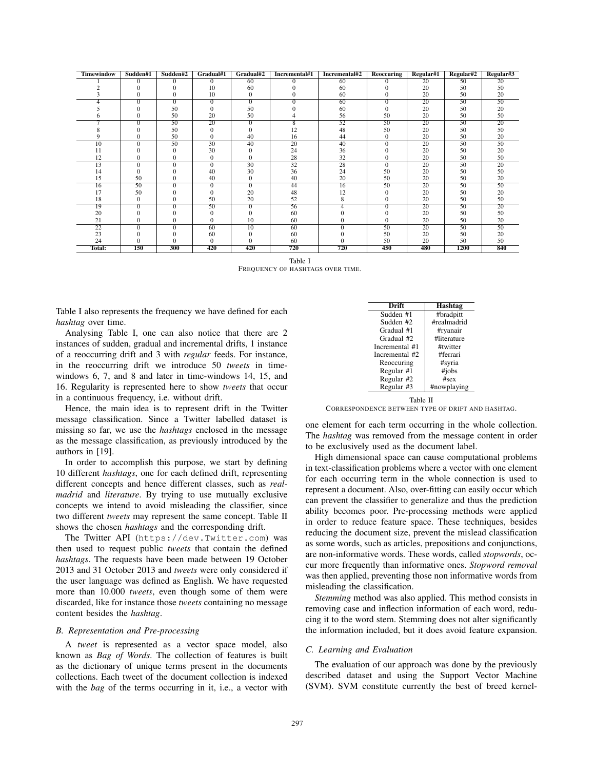| <b>Timewindow</b> | Sudden#1       | Sudden#2 | Gradual#1       | Gradual#2       | Incremental#1   | Incremental#2 | Reoccuring      | Regular#1       | Regular#2       | Regular#3       |
|-------------------|----------------|----------|-----------------|-----------------|-----------------|---------------|-----------------|-----------------|-----------------|-----------------|
|                   | 0              | $\Omega$ | $\Omega$        | 60              |                 | 60            | 0               | 20              | 50              | 20              |
|                   |                |          | 10              | 60              |                 | 60            |                 | 20              | 50              | 50              |
|                   |                | 0        | 10              | $\mathbf{0}$    |                 | 60            | 0               | 20              | 50              | 20              |
|                   | $\Omega$       | $\Omega$ | $\Omega$        | $\Omega$        | 0               | 60            | $\Omega$        | 20              | 50              | 50              |
|                   |                | 50       | 0               | 50              |                 | 60            | 0               | 20              | 50              | 20              |
|                   |                | 50       | 20              | 50              |                 | 56            | 50              | 20              | 50              | 50              |
|                   | $\Omega$       | 50       | 20              | $\Omega$        | 8               | 52            | 50              | 20              | 50              | 20              |
|                   |                | 50       | 0               | 0               | 12              | 48            | 50              | 20              | 50              | 50              |
|                   |                | 50       | 0               | 40              | 16              | 44            | 0               | 20              | 50              | 20              |
| 10                | $\overline{0}$ | 50       | 30              | 40              | 20              | 40            | $\overline{0}$  | 20              | 50              | 50              |
|                   |                |          | 30              | 0               | 24              | 36            |                 | 20              | 50              | 20              |
| 12                |                | 0        | $\mathbf{0}$    | 0               | 28              | 32            | 0               | 20              | 50              | 50              |
| 13                | $\Omega$       | $\Omega$ | $\mathbf{0}$    | 30              | $\overline{32}$ | 28            | $\mathbf{0}$    | 20              | 50              | 20              |
| 14                | 0              |          | 40              | 30              | 36              | 24            | 50              | 20              | 50              | 50              |
| 15                | 50             | $\Omega$ | 40              | $\Omega$        | 40              | 20            | 50              | 20              | 50              | 20              |
| 16                | 50             | $\Omega$ | $\Omega$        | $\Omega$        | 44              | 16            | 50              | 20              | 50              | 50              |
| 17                | 50             |          | 0               | 20              | 48              | 12            | 0               | 20              | 50              | 20              |
| 18                |                | 0        | 50              | 20              | 52              | 8             | 0               | 20              | 50              | 50              |
| 19                | $\overline{0}$ | $\Omega$ | $\overline{50}$ | $\overline{0}$  | 56              |               | $\overline{0}$  | 20              | 50              | $\overline{20}$ |
| 20                |                |          | 0               | $\Omega$        | 60              |               |                 | 20              | 50              | 50              |
| 21                |                | 0        | 0               | 10              | 60              | 0             |                 | 20              | 50              | 20              |
| $\overline{22}$   | $\Omega$       | $\Omega$ | 60              | $\overline{10}$ | 60              | 0             | $\overline{50}$ | $\overline{20}$ | $\overline{50}$ | $\overline{50}$ |
| 23                |                |          | 60              | 0               | 60              |               | 50              | 20              | 50              | 20              |
| 24                |                | 0        | $\Omega$        | 0               | 60              | 0             | 50              | 20              | 50              | 50              |
| Total:            | 150            | 300      | 420             | 420             | 720             | 720           | 450             | 480             | 1200            | 840             |

Table I

FREQUENCY OF HASHTAGS OVER TIME.

Table I also represents the frequency we have defined for each *hashtag* over time.

Analysing Table I, one can also notice that there are 2 instances of sudden, gradual and incremental drifts, 1 instance of a reoccurring drift and 3 with *regular* feeds. For instance, in the reoccurring drift we introduce 50 *tweets* in timewindows 6, 7, and 8 and later in time-windows 14, 15, and 16. Regularity is represented here to show *tweets* that occur in a continuous frequency, i.e. without drift.

Hence, the main idea is to represent drift in the Twitter message classification. Since a Twitter labelled dataset is missing so far, we use the *hashtags* enclosed in the message as the message classification, as previously introduced by the authors in [19].

In order to accomplish this purpose, we start by defining 10 different *hashtags*, one for each defined drift, representing different concepts and hence different classes, such as *realmadrid* and *literature*. By trying to use mutually exclusive concepts we intend to avoid misleading the classifier, since two different *tweets* may represent the same concept. Table II shows the chosen *hashtags* and the corresponding drift.

The Twitter API (https://dev.Twitter.com) was then used to request public *tweets* that contain the defined *hashtags*. The requests have been made between 19 October 2013 and 31 October 2013 and *tweets* were only considered if the user language was defined as English. We have requested more than 10.000 *tweets*, even though some of them were discarded, like for instance those *tweets* containing no message content besides the *hashtag*.

## *B. Representation and Pre-processing*

A *tweet* is represented as a vector space model, also known as *Bag of Words*. The collection of features is built as the dictionary of unique terms present in the documents collections. Each tweet of the document collection is indexed with the *bag* of the terms occurring in it, i.e., a vector with



CORRESPONDENCE BETWEEN TYPE OF DRIFT AND HASHTAG.

one element for each term occurring in the whole collection. The *hashtag* was removed from the message content in order to be exclusively used as the document label.

High dimensional space can cause computational problems in text-classification problems where a vector with one element for each occurring term in the whole connection is used to represent a document. Also, over-fitting can easily occur which can prevent the classifier to generalize and thus the prediction ability becomes poor. Pre-processing methods were applied in order to reduce feature space. These techniques, besides reducing the document size, prevent the mislead classification as some words, such as articles, prepositions and conjunctions, are non-informative words. These words, called *stopwords*, occur more frequently than informative ones. *Stopword removal* was then applied, preventing those non informative words from misleading the classification.

*Stemming* method was also applied. This method consists in removing case and inflection information of each word, reducing it to the word stem. Stemming does not alter significantly the information included, but it does avoid feature expansion.

## *C. Learning and Evaluation*

The evaluation of our approach was done by the previously described dataset and using the Support Vector Machine (SVM). SVM constitute currently the best of breed kernel-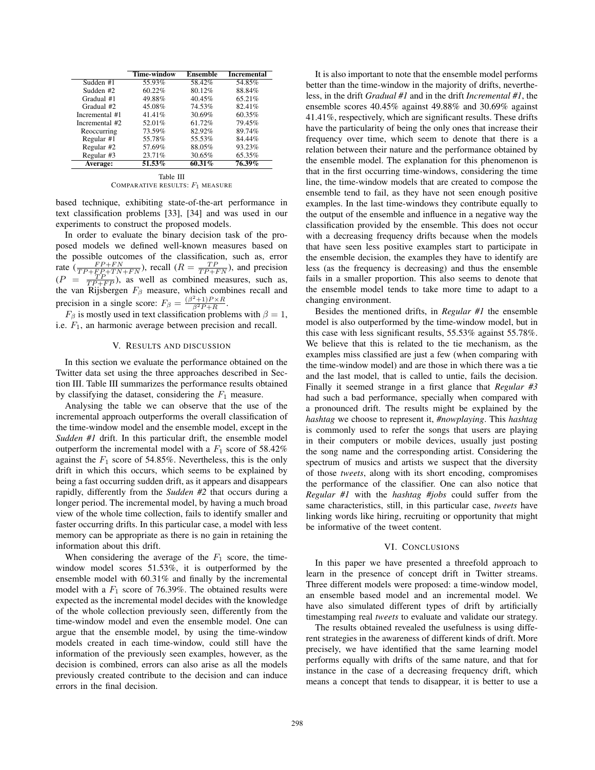|                | Time-window | Ensemble | <b>Incremental</b> |
|----------------|-------------|----------|--------------------|
| Sudden #1      | 55.93%      | 58.42%   | 54.85%             |
| Sudden #2      | 60.22%      | 80.12%   | 88.84%             |
| Gradual #1     | 49.88%      | 40.45%   | 65.21%             |
| Gradual #2     | 45.08%      | 74.53%   | 82.41%             |
| Incremental #1 | 41.41%      | 30.69%   | 60.35%             |
| Incremental #2 | 52.01%      | 61.72%   | 79.45%             |
| Reoccurring    | 73.59%      | 82.92%   | 89.74%             |
| Regular #1     | 55.78%      | 55.53%   | 84.44%             |
| Regular #2     | 57.69%      | 88.05%   | 93.23%             |
| Regular #3     | 23.71%      | 30.65%   | 65.35%             |
| Average:       | 51.53%      | 60.31%   | 76.39%             |

Table III COMPARATIVE RESULTS:  $F_1$  MEASURE

based technique, exhibiting state-of-the-art performance in text classification problems [33], [34] and was used in our experiments to construct the proposed models.

In order to evaluate the binary decision task of the proposed models we defined well-known measures based on the possible outcomes of the classification, such as, error rate  $(\frac{FP+FN}{TP+FP+TN+FN})$ , recall  $(R = \frac{TP}{TP+FN})$ , and precision  $(P = \frac{TP}{TP + FP}$ , as well as combined measures, such as, the van Rijsbergen  $F_\beta$  measure, which combines recall and precision in a single score:  $F_{\beta} = \frac{(\beta^2 + 1)P \times R}{\beta^2 P + R}$ .

 $F_\beta$  is mostly used in text classification problems with  $\beta = 1$ , i.e.  $F_1$ , an harmonic average between precision and recall.

## V. RESULTS AND DISCUSSION

In this section we evaluate the performance obtained on the Twitter data set using the three approaches described in Section III. Table III summarizes the performance results obtained by classifying the dataset, considering the  $F_1$  measure.

Analysing the table we can observe that the use of the incremental approach outperforms the overall classification of the time-window model and the ensemble model, except in the *Sudden #1* drift. In this particular drift, the ensemble model outperform the incremental model with a  $F_1$  score of 58.42% against the  $F_1$  score of 54.85%. Nevertheless, this is the only drift in which this occurs, which seems to be explained by being a fast occurring sudden drift, as it appears and disappears rapidly, differently from the *Sudden #2* that occurs during a longer period. The incremental model, by having a much broad view of the whole time collection, fails to identify smaller and faster occurring drifts. In this particular case, a model with less memory can be appropriate as there is no gain in retaining the information about this drift.

When considering the average of the  $F_1$  score, the timewindow model scores 51.53%, it is outperformed by the ensemble model with 60.31% and finally by the incremental model with a  $F_1$  score of 76.39%. The obtained results were expected as the incremental model decides with the knowledge of the whole collection previously seen, differently from the time-window model and even the ensemble model. One can argue that the ensemble model, by using the time-window models created in each time-window, could still have the information of the previously seen examples, however, as the decision is combined, errors can also arise as all the models previously created contribute to the decision and can induce errors in the final decision.

It is also important to note that the ensemble model performs better than the time-window in the majority of drifts, nevertheless, in the drift *Gradual #1* and in the drift *Incremental #1*, the ensemble scores 40.45% against 49.88% and 30.69% against 41.41%, respectively, which are significant results. These drifts have the particularity of being the only ones that increase their frequency over time, which seem to denote that there is a relation between their nature and the performance obtained by the ensemble model. The explanation for this phenomenon is that in the first occurring time-windows, considering the time line, the time-window models that are created to compose the ensemble tend to fail, as they have not seen enough positive examples. In the last time-windows they contribute equally to the output of the ensemble and influence in a negative way the classification provided by the ensemble. This does not occur with a decreasing frequency drifts because when the models that have seen less positive examples start to participate in the ensemble decision, the examples they have to identify are less (as the frequency is decreasing) and thus the ensemble fails in a smaller proportion. This also seems to denote that the ensemble model tends to take more time to adapt to a changing environment.

Besides the mentioned drifts, in *Regular #1* the ensemble model is also outperformed by the time-window model, but in this case with less significant results, 55.53% against 55.78%. We believe that this is related to the tie mechanism, as the examples miss classified are just a few (when comparing with the time-window model) and are those in which there was a tie and the last model, that is called to untie, fails the decision. Finally it seemed strange in a first glance that *Regular #3* had such a bad performance, specially when compared with a pronounced drift. The results might be explained by the *hashtag* we choose to represent it, *#nowplaying*. This *hashtag* is commonly used to refer the songs that users are playing in their computers or mobile devices, usually just posting the song name and the corresponding artist. Considering the spectrum of musics and artists we suspect that the diversity of those *tweets*, along with its short encoding, compromises the performance of the classifier. One can also notice that *Regular #1* with the *hashtag #jobs* could suffer from the same characteristics, still, in this particular case, *tweets* have linking words like hiring, recruiting or opportunity that might be informative of the tweet content.

## VI. CONCLUSIONS

In this paper we have presented a threefold approach to learn in the presence of concept drift in Twitter streams. Three different models were proposed: a time-window model, an ensemble based model and an incremental model. We have also simulated different types of drift by artificially timestamping real *tweets* to evaluate and validate our strategy.

The results obtained revealed the usefulness is using different strategies in the awareness of different kinds of drift. More precisely, we have identified that the same learning model performs equally with drifts of the same nature, and that for instance in the case of a decreasing frequency drift, which means a concept that tends to disappear, it is better to use a